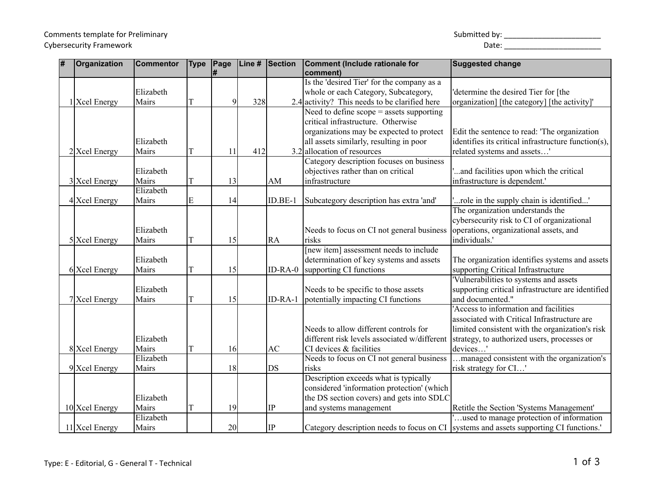## Comments template for Preliminary Cybersecurity Framework

| Submitted by: |  |
|---------------|--|
|               |  |

| # | <b>Organization</b> | <b>Commentor</b> | <b>Type</b> | Page<br>#   | Line # | <b>Section</b> | Comment (Include rationale for<br>comment)                | <b>Suggested change</b>                                                               |
|---|---------------------|------------------|-------------|-------------|--------|----------------|-----------------------------------------------------------|---------------------------------------------------------------------------------------|
|   |                     |                  |             |             |        |                | Is the 'desired Tier' for the company as a                |                                                                                       |
|   |                     | Elizabeth        |             |             |        |                | whole or each Category, Subcategory,                      | determine the desired Tier for [the                                                   |
|   | 1 Xcel Energy       | Mairs            | T           | $\mathbf Q$ | 328    |                | 2.4 activity? This needs to be clarified here             | organization] [the category] [the activity]'                                          |
|   |                     |                  |             |             |        |                | Need to define $\text{scope} = \text{asserts}$ supporting |                                                                                       |
|   |                     |                  |             |             |        |                | critical infrastructure. Otherwise                        |                                                                                       |
|   |                     |                  |             |             |        |                | organizations may be expected to protect                  | Edit the sentence to read: 'The organization                                          |
|   |                     | Elizabeth        |             |             |        |                | all assets similarly, resulting in poor                   | identifies its critical infrastructure function(s),                                   |
|   | $2$ Xcel Energy     | Mairs            | T           | 11          | 412    |                | 3.2 allocation of resources                               | related systems and assets'                                                           |
|   |                     |                  |             |             |        |                | Category description focuses on business                  |                                                                                       |
|   |                     | Elizabeth        |             |             |        |                | objectives rather than on critical                        | and facilities upon which the critical                                                |
|   | 3 Xcel Energy       | Mairs            | T           | 13          |        | AM             | infrastructure                                            | infrastructure is dependent.'                                                         |
|   |                     | Elizabeth        |             |             |        |                |                                                           |                                                                                       |
|   | 4 Xcel Energy       | Mairs            | E           | 14          |        | $ID.BE-1$      | Subcategory description has extra 'and'                   | role in the supply chain is identified'                                               |
|   |                     |                  |             |             |        |                |                                                           | The organization understands the                                                      |
|   |                     |                  |             |             |        |                |                                                           | cybersecurity risk to CI of organizational                                            |
|   |                     | Elizabeth        |             |             |        |                | Needs to focus on CI not general business                 | operations, organizational assets, and                                                |
|   | 5 Xcel Energy       | Mairs            | T           | 15          |        | <b>RA</b>      | risks                                                     | individuals.'                                                                         |
|   |                     |                  |             |             |        |                | [new item] assessment needs to include                    |                                                                                       |
|   |                     | Elizabeth        |             |             |        |                | determination of key systems and assets                   | The organization identifies systems and assets                                        |
|   | 6 Xcel Energy       | Mairs            | T           | 15          |        | $ID-RA-0$      | supporting CI functions                                   | supporting Critical Infrastructure                                                    |
|   |                     |                  |             |             |        |                |                                                           | 'Vulnerabilities to systems and assets                                                |
|   |                     | Elizabeth        |             |             |        |                | Needs to be specific to those assets                      | supporting critical infrastructure are identified                                     |
|   | 7 Xcel Energy       | Mairs            | T           | 15          |        | ID-RA-1        | potentially impacting CI functions                        | and documented."                                                                      |
|   |                     |                  |             |             |        |                |                                                           | Access to information and facilities                                                  |
|   |                     |                  |             |             |        |                |                                                           | associated with Critical Infrastructure are                                           |
|   |                     |                  |             |             |        |                | Needs to allow different controls for                     | limited consistent with the organization's risk                                       |
|   |                     | Elizabeth        |             |             |        |                | different risk levels associated w/different              | strategy, to authorized users, processes or                                           |
|   | 8 Xcel Energy       | Mairs            | T           | 16          |        | AC             | CI devices & facilities                                   | devices'                                                                              |
|   |                     | Elizabeth        |             |             |        |                | Needs to focus on CI not general business                 | managed consistent with the organization's                                            |
|   | 9 Xcel Energy       | Mairs            |             | 18          |        | DS             | risks                                                     | risk strategy for CI'                                                                 |
|   |                     |                  |             |             |        |                | Description exceeds what is typically                     |                                                                                       |
|   |                     |                  |             |             |        |                | considered 'information protection' (which                |                                                                                       |
|   |                     | Elizabeth        |             |             |        |                | the DS section covers) and gets into SDLC                 |                                                                                       |
|   | 10 Xcel Energy      | Mairs            | T           | 19          |        | IP             | and systems management                                    | Retitle the Section 'Systems Management'                                              |
|   |                     | Elizabeth        |             |             |        |                |                                                           | used to manage protection of information                                              |
|   | 11 Xcel Energy      | Mairs            |             | 20          |        | IP             |                                                           | Category description needs to focus on CI systems and assets supporting CI functions. |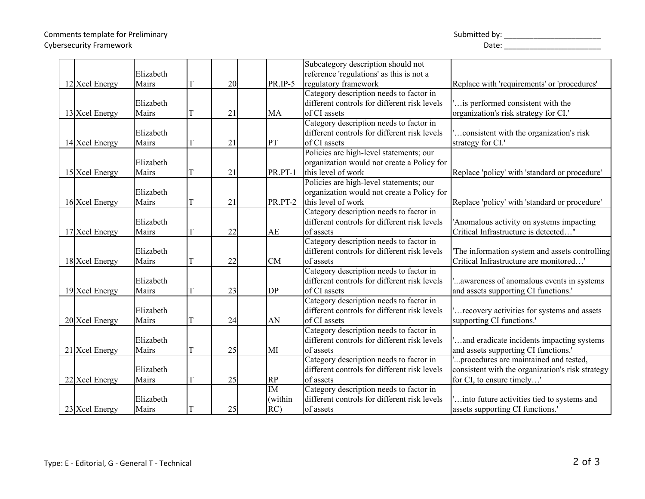Comments template for Preliminary Cybersecurity Framework

| Submitted by: |  |  |
|---------------|--|--|
|               |  |  |

|                                                    |                                          |   |                |                                                | Subcategory description should not                                                                                                                                                                           |                                                                                                                                                                                                                                                  |
|----------------------------------------------------|------------------------------------------|---|----------------|------------------------------------------------|--------------------------------------------------------------------------------------------------------------------------------------------------------------------------------------------------------------|--------------------------------------------------------------------------------------------------------------------------------------------------------------------------------------------------------------------------------------------------|
|                                                    | Elizabeth                                |   |                |                                                | reference 'regulations' as this is not a                                                                                                                                                                     |                                                                                                                                                                                                                                                  |
| 12 Xcel Energy                                     | Mairs                                    | T | 20             | PR.IP-5                                        | regulatory framework                                                                                                                                                                                         | Replace with 'requirements' or 'procedures'                                                                                                                                                                                                      |
|                                                    |                                          |   |                |                                                | Category description needs to factor in                                                                                                                                                                      |                                                                                                                                                                                                                                                  |
|                                                    |                                          |   |                |                                                |                                                                                                                                                                                                              |                                                                                                                                                                                                                                                  |
|                                                    | Elizabeth                                |   |                |                                                | different controls for different risk levels                                                                                                                                                                 | is performed consistent with the                                                                                                                                                                                                                 |
| 13 Xcel Energy                                     | Mairs                                    |   | 21             | MA                                             | of CI assets                                                                                                                                                                                                 | organization's risk strategy for CI.'                                                                                                                                                                                                            |
|                                                    |                                          |   |                |                                                | Category description needs to factor in                                                                                                                                                                      |                                                                                                                                                                                                                                                  |
|                                                    | Elizabeth                                |   |                |                                                | different controls for different risk levels                                                                                                                                                                 | consistent with the organization's risk                                                                                                                                                                                                          |
| 14 Xcel Energy                                     | Mairs                                    |   | 21             | PT                                             | of CI assets                                                                                                                                                                                                 | strategy for CI.'                                                                                                                                                                                                                                |
|                                                    |                                          |   |                |                                                | Policies are high-level statements; our                                                                                                                                                                      |                                                                                                                                                                                                                                                  |
|                                                    | Elizabeth                                |   |                |                                                | organization would not create a Policy for                                                                                                                                                                   |                                                                                                                                                                                                                                                  |
| 15 Xcel Energy                                     | Mairs                                    | T | 21             | PR.PT-1                                        | this level of work                                                                                                                                                                                           | Replace 'policy' with 'standard or procedure'                                                                                                                                                                                                    |
|                                                    |                                          |   |                |                                                | Policies are high-level statements; our                                                                                                                                                                      |                                                                                                                                                                                                                                                  |
|                                                    | Elizabeth                                |   |                |                                                | organization would not create a Policy for                                                                                                                                                                   |                                                                                                                                                                                                                                                  |
| 16 Xcel Energy                                     | Mairs                                    | T | 21             | PR.PT-2                                        | this level of work                                                                                                                                                                                           | Replace 'policy' with 'standard or procedure'                                                                                                                                                                                                    |
|                                                    |                                          |   |                |                                                | Category description needs to factor in                                                                                                                                                                      |                                                                                                                                                                                                                                                  |
|                                                    | Elizabeth                                |   |                |                                                | different controls for different risk levels                                                                                                                                                                 | 'Anomalous activity on systems impacting                                                                                                                                                                                                         |
| 17 Xcel Energy                                     | Mairs                                    |   | 22             | AE                                             | of assets                                                                                                                                                                                                    | Critical Infrastructure is detected"                                                                                                                                                                                                             |
|                                                    |                                          |   |                |                                                | Category description needs to factor in                                                                                                                                                                      |                                                                                                                                                                                                                                                  |
|                                                    | Elizabeth                                |   |                |                                                | different controls for different risk levels                                                                                                                                                                 | The information system and assets controlling                                                                                                                                                                                                    |
|                                                    | Mairs                                    | T | 22             | <b>CM</b>                                      | of assets                                                                                                                                                                                                    | Critical Infrastructure are monitored'                                                                                                                                                                                                           |
| 18 Xcel Energy                                     |                                          |   |                |                                                |                                                                                                                                                                                                              |                                                                                                                                                                                                                                                  |
|                                                    |                                          |   |                |                                                | Category description needs to factor in                                                                                                                                                                      |                                                                                                                                                                                                                                                  |
|                                                    | Elizabeth                                |   |                |                                                | different controls for different risk levels                                                                                                                                                                 | awareness of anomalous events in systems                                                                                                                                                                                                         |
| 19 Xcel Energy                                     | Mairs                                    |   | 23             | DP                                             | of CI assets                                                                                                                                                                                                 | and assets supporting CI functions.'                                                                                                                                                                                                             |
|                                                    |                                          |   |                |                                                | Category description needs to factor in                                                                                                                                                                      |                                                                                                                                                                                                                                                  |
|                                                    | Elizabeth                                |   |                |                                                | different controls for different risk levels                                                                                                                                                                 | recovery activities for systems and assets                                                                                                                                                                                                       |
| 20 Xcel Energy                                     | Mairs                                    |   | 24             | AN                                             | of CI assets                                                                                                                                                                                                 | supporting CI functions.'                                                                                                                                                                                                                        |
|                                                    |                                          |   |                |                                                | Category description needs to factor in                                                                                                                                                                      |                                                                                                                                                                                                                                                  |
|                                                    | Elizabeth                                |   |                |                                                | different controls for different risk levels                                                                                                                                                                 | and eradicate incidents impacting systems                                                                                                                                                                                                        |
|                                                    | Mairs                                    | T |                | MI                                             | of assets                                                                                                                                                                                                    |                                                                                                                                                                                                                                                  |
|                                                    |                                          |   |                |                                                |                                                                                                                                                                                                              |                                                                                                                                                                                                                                                  |
|                                                    |                                          |   |                |                                                |                                                                                                                                                                                                              |                                                                                                                                                                                                                                                  |
|                                                    |                                          |   |                |                                                |                                                                                                                                                                                                              |                                                                                                                                                                                                                                                  |
|                                                    |                                          |   |                |                                                |                                                                                                                                                                                                              |                                                                                                                                                                                                                                                  |
|                                                    |                                          |   |                |                                                |                                                                                                                                                                                                              |                                                                                                                                                                                                                                                  |
|                                                    |                                          |   |                |                                                |                                                                                                                                                                                                              |                                                                                                                                                                                                                                                  |
| 21 Xcel Energy<br>22 Xcel Energy<br>23 Xcel Energy | Elizabeth<br>Mairs<br>Elizabeth<br>Mairs | T | 25<br>25<br>25 | RP<br>$\overline{\text{IM}}$<br>(within<br>RC) | Category description needs to factor in<br>different controls for different risk levels<br>of assets<br>Category description needs to factor in<br>different controls for different risk levels<br>of assets | and assets supporting CI functions.'<br>procedures are maintained and tested,<br>consistent with the organization's risk strategy<br>for CI, to ensure timely'<br>into future activities tied to systems and<br>assets supporting CI functions.' |